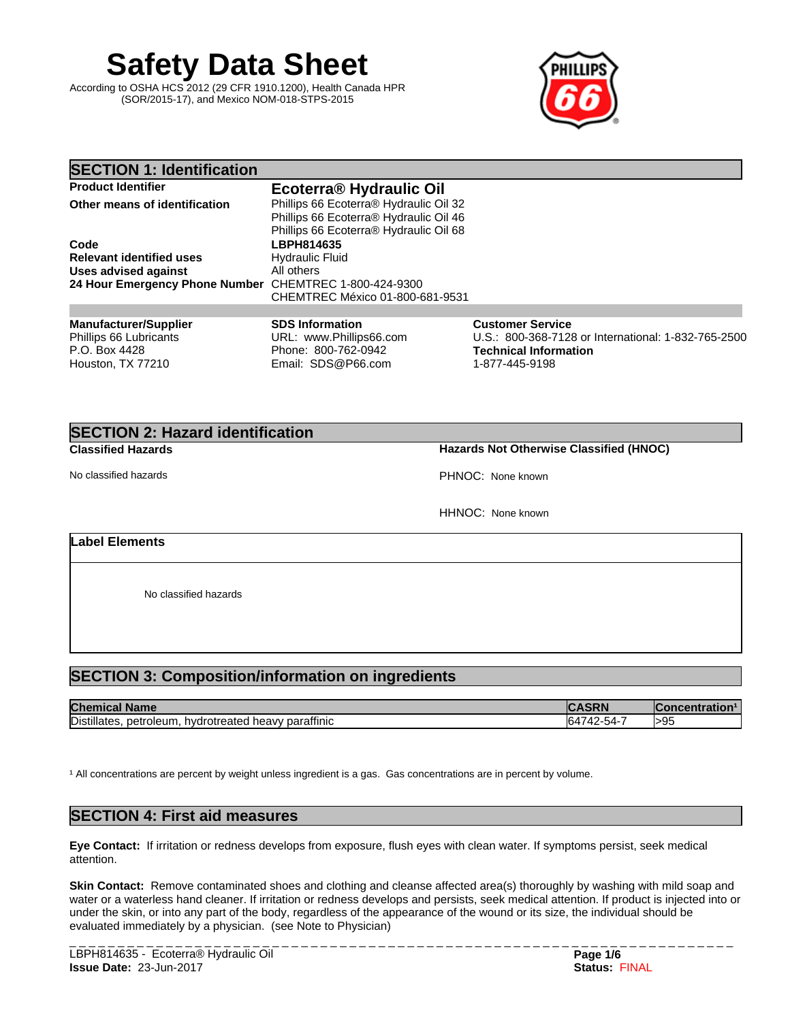**Safety Data Sheet**

According to OSHA HCS 2012 (29 CFR 1910.1200), Health Canada HPR (SOR/2015-17), and Mexico NOM-018-STPS-2015



#### **SECTION 1: Identification Product Identifier Ecoterra® Hydraulic Oil Phillips 66 Ecoterra® Hydraulic Oil 32** Phillips 66 Ecoterra® Hydraulic Oil 46 Phillips 66 Ecoterra® Hydraulic Oil 68 **Code LBPH814635 Relevant identified uses** Hydraulic Fluid<br> **Uses advised against** All others **Uses** advised against **24 Hour Emergency Phone Number** CHEMTREC 1-800-424-9300 CHEMTREC México 01-800-681-9531 **Manufacturer/Supplier** Phillips 66 Lubricants P.O. Box 4428 Houston, TX 77210 **SDS Information** URL: www.Phillips66.com Phone: 800-762-0942 Email: SDS@P66.com **Customer Service** U.S.: 800-368-7128 or International: 1-832-765-2500 **Technical Information** 1-877-445-9198

# **SECTION 2: Hazard identification**

No classified hazards **PHNOC:** None known

#### **Classified Hazards Hazards Not Otherwise Classified (HNOC)**

HHNOC: None known

#### **Label Elements**

No classified hazards

## **SECTION 3: Composition/information on ingredients**

| <b>Chen</b><br><b>Name</b>                                           | יואכ                   | entration. |
|----------------------------------------------------------------------|------------------------|------------|
| Distillates<br><br>petroleum.<br>parattinic<br>hvdrotreated<br>neavv | -2-54 -<br>, , ,<br>≖∠ | >95        |

<sup>1</sup> All concentrations are percent by weight unless ingredient is a gas. Gas concentrations are in percent by volume.

## **SECTION 4: First aid measures**

**Eye Contact:** Ifirritation or redness develops from exposure, flush eyes with clean water. If symptoms persist, seek medical attention.

**Skin Contact:** Remove contaminated shoes and clothing and cleanse affected area(s) thoroughly by washing with mild soap and water or a waterless hand cleaner. If irritation or redness develops and persists, seek medical attention. If product is injected into or under the skin, or into any part of the body, regardless of the appearance of the wound or its size, the individual should be evaluated immediately by a physician. (see Note to Physician)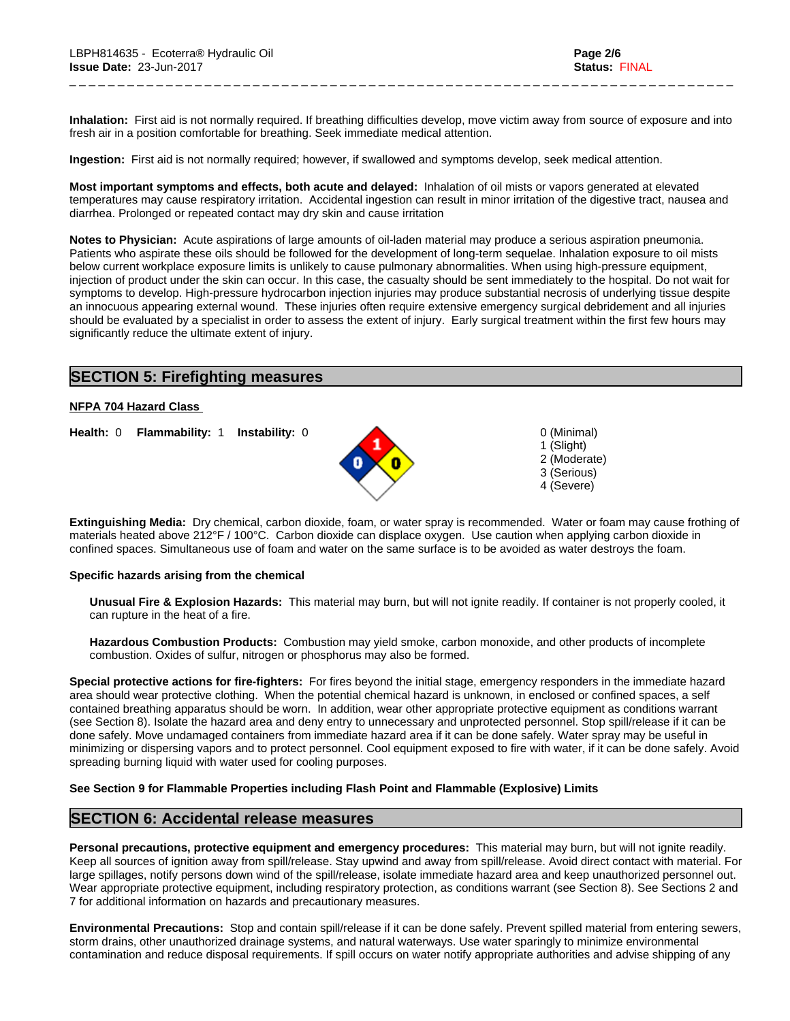Inhalation: First aid is not normally required. If breathing difficulties develop, move victim away from source of exposure and into fresh air in a position comfortable for breathing. Seek immediate medical attention.

\_ \_ \_ \_ \_ \_ \_ \_ \_ \_ \_ \_ \_ \_ \_ \_ \_ \_ \_ \_ \_ \_ \_ \_ \_ \_ \_ \_ \_ \_ \_ \_ \_ \_ \_ \_ \_ \_ \_ \_ \_ \_ \_ \_ \_ \_ \_ \_ \_ \_ \_ \_ \_ \_ \_ \_ \_ \_ \_ \_ \_ \_ \_ \_ \_ \_ \_ \_ \_

**Ingestion:** First aid is not normally required; however, if swallowed and symptoms develop, seek medical attention.

**Most important symptoms and effects, both acute and delayed:** Inhalation of oil mists or vapors generated at elevated temperatures may cause respiratory irritation. Accidental ingestion can result in minor irritation of the digestive tract, nausea and diarrhea. Prolonged or repeated contact may dry skin and cause irritation

**Notes to Physician:**Acute aspirations of large amounts of oil-laden material may produce a serious aspiration pneumonia. Patients who aspirate these oils should be followed for the development of long-term sequelae. Inhalation exposure to oil mists below current workplace exposure limits is unlikely to cause pulmonary abnormalities. When using high-pressure equipment, injection of product under the skin can occur. In this case, the casualty should be sent immediately to the hospital. Do not wait for symptoms to develop. High-pressure hydrocarbon injection injuries may produce substantial necrosis of underlying tissue despite an innocuous appearing external wound. These injuries often require extensive emergency surgical debridement and all injuries should be evaluated by a specialist in order to assess the extent of injury. Early surgical treatment within the first few hours may significantly reduce the ultimate extent of injury.

## **SECTION 5: Firefighting measures**

#### **NFPA 704 Hazard Class**

**Health:** 0 **Flammability:** 1 **Instability:** 0 0 (Minimal)



1 (Slight) 2 (Moderate) 3 (Serious) 4 (Severe)

**Extinguishing Media:** Dry chemical, carbon dioxide, foam, or water spray is recommended. Water or foam may cause frothing of materials heated above 212°F / 100°C. Carbon dioxide can displace oxygen. Use caution when applying carbon dioxide in confined spaces. Simultaneous use of foam and water on the same surface is to be avoided as water destroys the foam.

#### **Specific hazards arising from the chemical**

**Unusual Fire & Explosion Hazards:** This material may burn, butwill not ignite readily. If container is not properly cooled, it can rupture in the heat of a fire.

**Hazardous Combustion Products:** Combustion may yield smoke, carbon monoxide, and other products of incomplete combustion. Oxides of sulfur, nitrogen or phosphorus may also be formed.

**Special protective actions for fire-fighters:** For fires beyond the initial stage, emergency responders in the immediate hazard area should wear protective clothing. When the potential chemical hazard is unknown, in enclosed or confined spaces, a self contained breathing apparatus should be worn. In addition, wear other appropriate protective equipment as conditions warrant (see Section 8). Isolate the hazard area and deny entry to unnecessary and unprotected personnel. Stop spill/release if it can be done safely. Move undamaged containers from immediate hazard area if it can be done safely. Water spray may be useful in minimizing or dispersing vapors and to protect personnel. Cool equipment exposed to fire with water, if it can be done safely. Avoid spreading burning liquid with water used for cooling purposes.

#### **See Section 9 for Flammable Properties including Flash Point and Flammable (Explosive) Limits**

## **SECTION 6: Accidental release measures**

**Personal precautions, protective equipment and emergency procedures:** This material may burn, butwill not ignite readily. Keep all sources of ignition away from spill/release. Stay upwind and away from spill/release. Avoid direct contact with material. For large spillages, notify persons down wind of the spill/release, isolate immediate hazard area and keep unauthorized personnel out. Wear appropriate protective equipment, including respiratory protection, as conditions warrant (see Section 8). See Sections 2 and 7 for additional information on hazards and precautionary measures.

**Environmental Precautions:** Stop and contain spill/release if it can be done safely. Prevent spilled material from entering sewers, storm drains, other unauthorized drainage systems, and natural waterways. Use water sparingly to minimize environmental contamination and reduce disposal requirements. If spill occurs on water notify appropriate authorities and advise shipping of any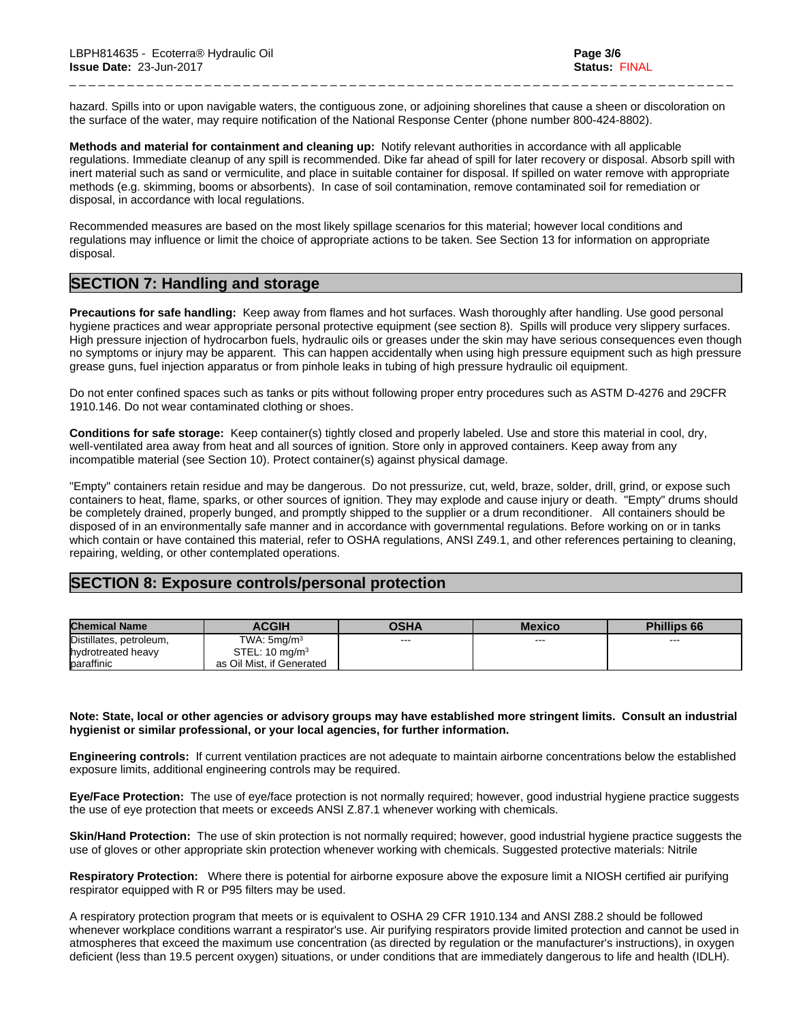hazard. Spills into or upon navigable waters, the contiguous zone, or adjoining shorelines that cause a sheen or discoloration on the surface of the water, may require notification of the National Response Center (phone number 800-424-8802).

\_ \_ \_ \_ \_ \_ \_ \_ \_ \_ \_ \_ \_ \_ \_ \_ \_ \_ \_ \_ \_ \_ \_ \_ \_ \_ \_ \_ \_ \_ \_ \_ \_ \_ \_ \_ \_ \_ \_ \_ \_ \_ \_ \_ \_ \_ \_ \_ \_ \_ \_ \_ \_ \_ \_ \_ \_ \_ \_ \_ \_ \_ \_ \_ \_ \_ \_ \_ \_

**Methods and material for containment and cleaning up:** Notify relevant authorities in accordance with all applicable regulations. Immediate cleanup of any spill is recommended. Dike far ahead of spill for later recovery or disposal. Absorb spill with inert material such as sand or vermiculite, and place in suitable container for disposal. If spilled on water remove with appropriate methods (e.g. skimming, booms or absorbents). In case of soil contamination, remove contaminated soil for remediation or disposal, in accordance with local regulations.

Recommended measures are based on the most likely spillage scenarios for this material; however local conditions and regulations may influence or limit the choice of appropriate actions to be taken. See Section 13 for information on appropriate disposal.

## **SECTION 7: Handling and storage**

**Precautions for safe handling:** Keep away from flames and hot surfaces. Wash thoroughly after handling. Use good personal hygiene practices and wear appropriate personal protective equipment (see section 8). Spills will produce very slippery surfaces. High pressure injection of hydrocarbon fuels, hydraulic oils or greases under the skin may have serious consequences even though no symptoms or injury may be apparent. This can happen accidentally when using high pressure equipment such as high pressure grease guns, fuel injection apparatus or from pinhole leaks in tubing of high pressure hydraulic oil equipment.

Do not enter confined spaces such as tanks or pits without following proper entry procedures such as ASTM D-4276 and 29CFR 1910.146. Do not wear contaminated clothing or shoes.

**Conditions for safe storage:**Keep container(s) tightly closed and properly labeled. Use and store this material in cool, dry, well-ventilated area away from heat and all sources of ignition. Store only in approved containers. Keep away from any incompatible material (see Section 10). Protect container(s) against physical damage.

"Empty" containers retain residue and may be dangerous. Do not pressurize, cut, weld, braze, solder, drill, grind, or expose such containers to heat, flame, sparks, or other sources of ignition. They may explode and cause injury or death."Empty" drums should be completely drained, properly bunged, and promptly shipped to the supplier or a drum reconditioner. All containers should be disposed of in an environmentally safe manner and in accordance with governmental regulations. Before working on or in tanks which contain or have contained this material, refer to OSHA regulations, ANSI Z49.1, and other references pertaining to cleaning, repairing, welding, or other contemplated operations.

## **SECTION 8: Exposure controls/personal protection**

| <b>Chemical Name</b>    | <b>ACGIH</b>              | OSHA    | Mexico | <b>Phillips 66</b> |
|-------------------------|---------------------------|---------|--------|--------------------|
| Distillates, petroleum, | TWA: 5mq/m <sup>3</sup>   | $- - -$ | ---    | $- - -$            |
| hydrotreated heavy      | STEL: $10 \text{ mg/m}^3$ |         |        |                    |
| baraffinic              | as Oil Mist, if Generated |         |        |                    |

#### Note: State, local or other agencies or advisory groups may have established more stringent limits. Consult an industrial **hygienist or similar professional, or your local agencies, for further information.**

**Engineering controls:** If current ventilation practices are not adequate to maintain airborne concentrations below the established exposure limits, additional engineering controls may be required.

**Eye/Face Protection:** The use of eve/face protection is not normally required: however, good industrial hygiene practice suggests the use of eye protection that meets or exceeds ANSI Z.87.1 whenever working with chemicals.

**Skin/Hand Protection:** The use of skin protection is not normally required; however, good industrial hygiene practice suggests the use of gloves or other appropriate skin protection whenever working with chemicals. Suggested protective materials: Nitrile

**Respiratory Protection:** Where there is potential for airborne exposure above the exposure limit a NIOSH certified air purifying respirator equipped with R or P95 filters may be used.

A respiratory protection program that meets or is equivalent to OSHA 29 CFR 1910.134 and ANSI Z88.2 should be followed whenever workplace conditions warrant a respirator's use. Air purifying respirators provide limited protection and cannot be used in atmospheres that exceed the maximum use concentration (as directed by regulation or the manufacturer's instructions), in oxygen deficient (less than 19.5 percent oxygen) situations, or under conditions that are immediately dangerous to life and health (IDLH).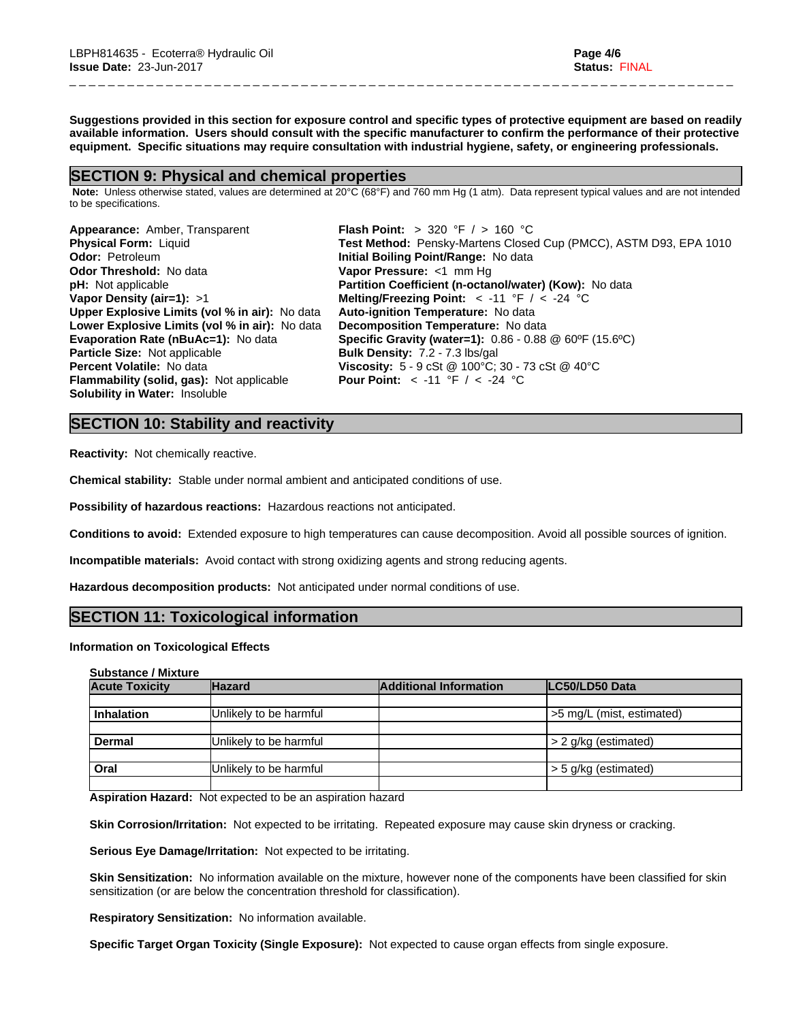Suggestions provided in this section for exposure control and specific types of protective equipment are based on readily available information. Users should consult with the specific manufacturer to confirm the performance of their protective **equipment. Specific situations may require consultation with industrial hygiene, safety, or engineering professionals.**

\_ \_ \_ \_ \_ \_ \_ \_ \_ \_ \_ \_ \_ \_ \_ \_ \_ \_ \_ \_ \_ \_ \_ \_ \_ \_ \_ \_ \_ \_ \_ \_ \_ \_ \_ \_ \_ \_ \_ \_ \_ \_ \_ \_ \_ \_ \_ \_ \_ \_ \_ \_ \_ \_ \_ \_ \_ \_ \_ \_ \_ \_ \_ \_ \_ \_ \_ \_ \_

## **SECTION 9: Physical and chemical properties**

 **Note:** Unless otherwise stated, values are determined at 20°C (68°F) and 760 mm Hg (1 atm). Data represent typical values and are not intended to be specifications.

| Appearance: Amber, Transparent                        | <b>Flash Point:</b> > 320 °F $/$ > 160 °C                                                                  |
|-------------------------------------------------------|------------------------------------------------------------------------------------------------------------|
| <b>Physical Form: Liquid</b>                          | Test Method: Pensky-Martens Closed Cup (PMCC), ASTM D93, EPA 1010                                          |
| <b>Odor: Petroleum</b>                                | Initial Boiling Point/Range: No data                                                                       |
| <b>Odor Threshold: No data</b>                        | Vapor Pressure: <1 mm Hq                                                                                   |
| <b>pH:</b> Not applicable                             | Partition Coefficient (n-octanol/water) (Kow): No data                                                     |
| Vapor Density (air=1): $>1$                           | Melting/Freezing Point: $<$ -11 °F / $<$ -24 °C                                                            |
| <b>Upper Explosive Limits (vol % in air):</b> No data | Auto-ignition Temperature: No data                                                                         |
| Lower Explosive Limits (vol % in air): No data        | Decomposition Temperature: No data                                                                         |
| Evaporation Rate (nBuAc=1): No data                   | <b>Specific Gravity (water=1):</b> 0.86 - 0.88 @ 60°F (15.6°C)                                             |
| Particle Size: Not applicable                         | <b>Bulk Density: 7.2 - 7.3 lbs/gal</b>                                                                     |
| <b>Percent Volatile: No data</b>                      | <b>Viscosity:</b> $5 - 9 \text{ cSt } @ 100^{\circ}\text{C}$ ; $30 - 73 \text{ cSt } @ 40^{\circ}\text{C}$ |
| <b>Flammability (solid, gas):</b> Not applicable      | <b>Pour Point:</b> $\lt$ -11 °F / $\lt$ -24 °C                                                             |
| <b>Solubility in Water: Insoluble</b>                 |                                                                                                            |

## **SECTION 10: Stability and reactivity**

**Reactivity:** Not chemically reactive.

**Chemical stability:** Stable under normal ambient and anticipated conditions of use.

**Possibility of hazardous reactions:** Hazardous reactions not anticipated.

**Conditions to avoid:** Extended exposure to high temperatures can cause decomposition. Avoid all possible sources of ignition.

**Incompatible materials:** Avoid contact with strong oxidizing agents and strong reducing agents.

**Hazardous decomposition products:** Not anticipated under normal conditions of use.

## **SECTION 11: Toxicological information**

#### **Information on Toxicological Effects**

| <b>Substance / Mixture</b> |  |
|----------------------------|--|
|----------------------------|--|

| <b>Hazard</b>          | <b>Additional Information</b> | <b>ILC50/LD50 Data</b>    |
|------------------------|-------------------------------|---------------------------|
|                        |                               |                           |
|                        |                               | >5 mg/L (mist, estimated) |
| Unlikely to be harmful |                               | > 2 g/kg (estimated)      |
| Unlikely to be harmful |                               | > 5 g/kg (estimated)      |
|                        | Unlikely to be harmful        |                           |

**Aspiration Hazard:** Not expected to be an aspiration hazard

**Skin Corrosion/Irritation:** Not expected to be irritating. Repeated exposure may cause skin dryness or cracking.

**Serious Eye Damage/Irritation:** Not expected to be irritating.

**Skin Sensitization:** No information available on the mixture, however none of the components have been classified for skin sensitization (or are below the concentration threshold for classification).

**Respiratory Sensitization:** No information available.

**Specific Target Organ Toxicity (Single Exposure):** Not expected to cause organ effects from single exposure.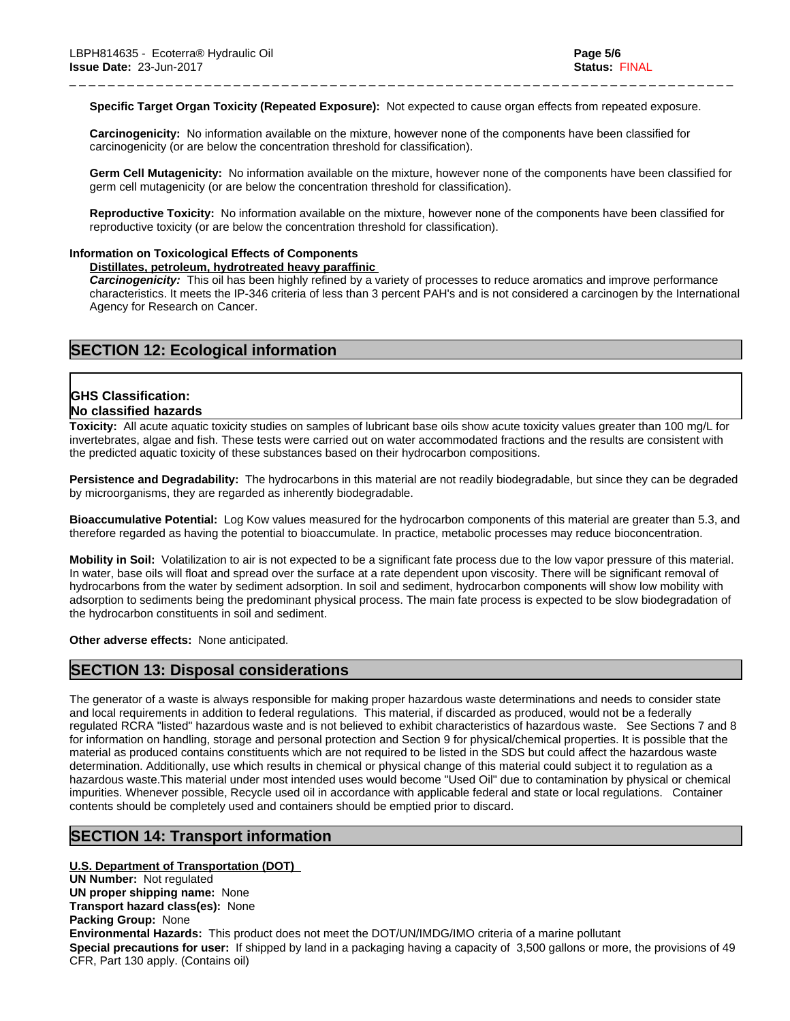**Specific Target Organ Toxicity (Repeated Exposure):** Not expected to cause organ effects from repeated exposure.

\_ \_ \_ \_ \_ \_ \_ \_ \_ \_ \_ \_ \_ \_ \_ \_ \_ \_ \_ \_ \_ \_ \_ \_ \_ \_ \_ \_ \_ \_ \_ \_ \_ \_ \_ \_ \_ \_ \_ \_ \_ \_ \_ \_ \_ \_ \_ \_ \_ \_ \_ \_ \_ \_ \_ \_ \_ \_ \_ \_ \_ \_ \_ \_ \_ \_ \_ \_ \_

**Carcinogenicity:** No information available on the mixture, however none of the components have been classified for carcinogenicity (or are below the concentration threshold for classification).

**Germ Cell Mutagenicity:** No information available on the mixture, however none of the components have been classified for germ cell mutagenicity (or are below the concentration threshold for classification).

**Reproductive Toxicity:** No information available on the mixture, however none of the components have been classified for reproductive toxicity (or are below the concentration threshold for classification).

#### **Information on Toxicological Effects of Components**

**Distillates, petroleum, hydrotreated heavy paraffinic**

*Carcinogenicity:* This oil has been highly refined by a variety of processes to reduce aromatics and improve performance characteristics. It meets the IP-346 criteria of less than 3 percent PAH's and isnot considered a carcinogen by the International Agency for Research on Cancer.

## **SECTION 12: Ecological information**

#### **GHS Classification:**

#### **No classified hazards**

**Toxicity:** All acute aquatic toxicity studies on samples of lubricant base oils show acute toxicity values greater than 100 mg/L for invertebrates, algae and fish. These tests were carried out on water accommodated fractions and the results are consistent with the predicted aquatic toxicity of these substances based on their hydrocarbon compositions.

**Persistence and Degradability:** The hydrocarbons in this material are not readily biodegradable, but since they can be degraded by microorganisms, they are regarded as inherently biodegradable.

**Bioaccumulative Potential:** Log Kow values measured for the hydrocarbon components of this material are greater than 5.3, and therefore regarded as having the potential to bioaccumulate. In practice, metabolic processes may reduce bioconcentration.

**Mobility in Soil:** Volatilization to air is not expected to be a significant fate process due to the low vapor pressure of this material. In water, base oils will float and spread over the surface at a rate dependent upon viscosity. There will be significant removal of hydrocarbons from the water by sediment adsorption. In soil and sediment, hydrocarbon components will show low mobility with adsorption to sediments being the predominant physical process. The main fate process is expected to be slow biodegradation of the hydrocarbon constituents in soil and sediment.

**Other adverse effects:** None anticipated.

#### **SECTION 13: Disposal considerations**

The generator of a waste is always responsible for making proper hazardous waste determinations and needs to consider state and local requirements in addition to federal regulations. This material, if discarded as produced, would not be a federally regulated RCRA "listed" hazardous waste and is not believed to exhibit characteristics of hazardous waste. See Sections 7 and 8 for information on handling, storage and personal protection and Section 9 for physical/chemical properties. It is possible that the material as produced contains constituents which are not required to be listed in the SDS but could affect the hazardous waste determination. Additionally, use which results in chemical or physical change of this material could subject it to regulation as a hazardous waste.This material under most intended uses would become "Used Oil" due to contamination by physical or chemical impurities. Whenever possible, Recycle used oil in accordance with applicable federal and state or local regulations. Container contents should be completely used and containers should be emptied prior to discard.

## **SECTION 14: Transport information**

#### **U.S. Department of Transportation (DOT)**

**UN Number:** Not regulated **UN proper shipping name:** None **Transport hazard class(es):** None **Packing Group:** None **Environmental Hazards:** This product does not meet the DOT/UN/IMDG/IMO criteria of a marine pollutant **Special precautions for user:** If shipped by land in a packaging having a capacity of 3,500 gallons or more, the provisions of 49 CFR, Part 130 apply. (Contains oil)